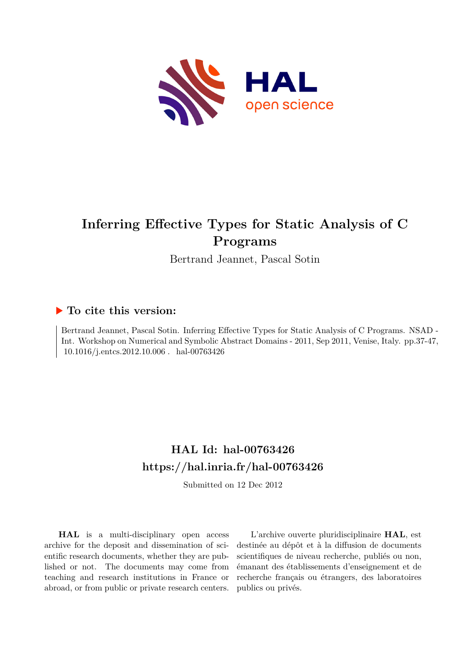

# **Inferring Effective Types for Static Analysis of C Programs**

Bertrand Jeannet, Pascal Sotin

## **To cite this version:**

Bertrand Jeannet, Pascal Sotin. Inferring Effective Types for Static Analysis of C Programs. NSAD - Int. Workshop on Numerical and Symbolic Abstract Domains - 2011, Sep 2011, Venise, Italy. pp.37-47,  $10.1016/j.entcs.2012.10.006$ . hal-00763426

# **HAL Id: hal-00763426 <https://hal.inria.fr/hal-00763426>**

Submitted on 12 Dec 2012

**HAL** is a multi-disciplinary open access archive for the deposit and dissemination of scientific research documents, whether they are published or not. The documents may come from teaching and research institutions in France or abroad, or from public or private research centers.

L'archive ouverte pluridisciplinaire **HAL**, est destinée au dépôt et à la diffusion de documents scientifiques de niveau recherche, publiés ou non, émanant des établissements d'enseignement et de recherche français ou étrangers, des laboratoires publics ou privés.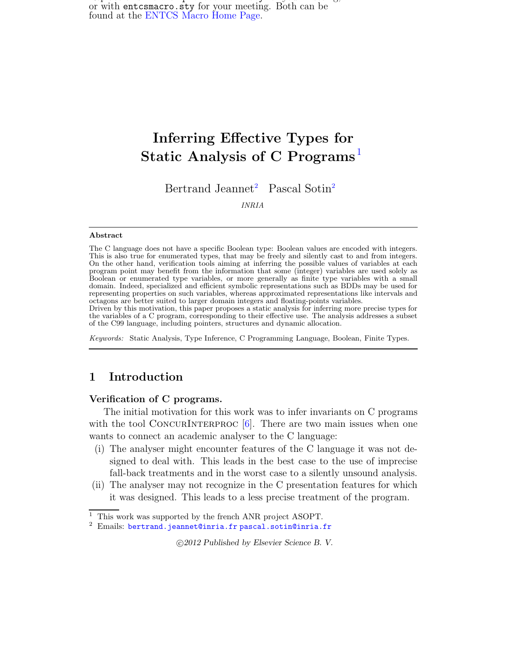$R$  replace this file with prediction  $\mathbf{r}$  is filed with prediction  $\mathbf{r}$  and  $\mathbf{r}$ or with entcsmacro.sty for your meeting. Both can be found at the [ENTCS Macro Home Page.](http://www.math.tulane.edu/~entcs)

# Inferring Effective Types for Static Analysis of C Programs<sup>[1](#page-3-0)</sup>

Bertrand Jeannet<sup>[2](#page-3-0)</sup> Pascal Sotin<sup>2</sup>

INRIA

### Abstract

The C language does not have a specific Boolean type: Boolean values are encoded with integers. This is also true for enumerated types, that may be freely and silently cast to and from integers. On the other hand, verification tools aiming at inferring the possible values of variables at each program point may benefit from the information that some (integer) variables are used solely as Boolean or enumerated type variables, or more generally as finite type variables with a small domain. Indeed, specialized and efficient symbolic representations such as BDDs may be used for representing properties on such variables, whereas approximated representations like intervals and octagons are better suited to larger domain integers and floating-points variables.

Driven by this motivation, this paper proposes a static analysis for inferring more precise types for the variables of a C program, corresponding to their effective use. The analysis addresses a subset of the C99 language, including pointers, structures and dynamic allocation.

Keywords: Static Analysis, Type Inference, C Programming Language, Boolean, Finite Types.

## 1 Introduction

## Verification of C programs.

<span id="page-1-1"></span>The initial motivation for this work was to infer invariants on C programs with the tool CONCURINTERPROC  $[6]$ . There are two main issues when one wants to connect an academic analyser to the C language:

- (i) The analyser might encounter features of the C language it was not designed to deal with. This leads in the best case to the use of imprecise fall-back treatments and in the worst case to a silently unsound analysis.
- <span id="page-1-0"></span>(ii) The analyser may not recognize in the C presentation features for which it was designed. This leads to a less precise treatment of the program.

c 2012 Published by Elsevier Science B. V.

<sup>&</sup>lt;sup>1</sup> This work was supported by the french ANR project ASOPT.

 $2$  Emails: bertrand. jeannet@inria.fr [pascal.sotin@inria.fr](mailto:pascal.sotin@inrialpes.fr)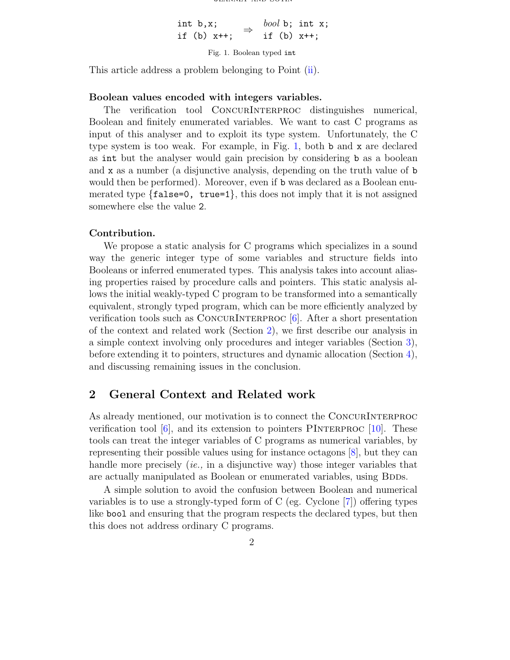int b,x; if (b)  $x++;$ bool b; int x; if (b) x++;

<span id="page-2-0"></span>Fig. 1. Boolean typed int

This article address a problem belonging to Point [\(ii\)](#page-1-0).

### Boolean values encoded with integers variables.

The verification tool ConcurInterproc distinguishes numerical, Boolean and finitely enumerated variables. We want to cast C programs as input of this analyser and to exploit its type system. Unfortunately, the C type system is too weak. For example, in Fig. [1,](#page-2-0) both b and x are declared as int but the analyser would gain precision by considering b as a boolean and x as a number (a disjunctive analysis, depending on the truth value of b would then be performed). Moreover, even if b was declared as a Boolean enumerated type  $\{false=0, \text{ true=1}\}$ , this does not imply that it is not assigned somewhere else the value 2.

## Contribution.

We propose a static analysis for C programs which specializes in a sound way the generic integer type of some variables and structure fields into Booleans or inferred enumerated types. This analysis takes into account aliasing properties raised by procedure calls and pointers. This static analysis allows the initial weakly-typed C program to be transformed into a semantically equivalent, strongly typed program, which can be more efficiently analyzed by verification tools such as CONCURINTERPROC  $[6]$ . After a short presentation of the context and related work (Section [2\)](#page-2-1), we first describe our analysis in a simple context involving only procedures and integer variables (Section [3\)](#page-3-1), before extending it to pointers, structures and dynamic allocation (Section [4\)](#page-8-0), and discussing remaining issues in the conclusion.

## <span id="page-2-1"></span>2 General Context and Related work

As already mentioned, our motivation is to connect the ConcurInterproc verification tool  $[6]$ , and its extension to pointers PINTERPROC  $[10]$ . These tools can treat the integer variables of C programs as numerical variables, by representing their possible values using for instance octagons [\[8\]](#page-12-2), but they can handle more precisely *(ie.,* in a disjunctive way) those integer variables that are actually manipulated as Boolean or enumerated variables, using BDDs.

A simple solution to avoid the confusion between Boolean and numerical variables is to use a strongly-typed form of C (eg. Cyclone [\[7\]](#page-12-3)) offering types like bool and ensuring that the program respects the declared types, but then this does not address ordinary C programs.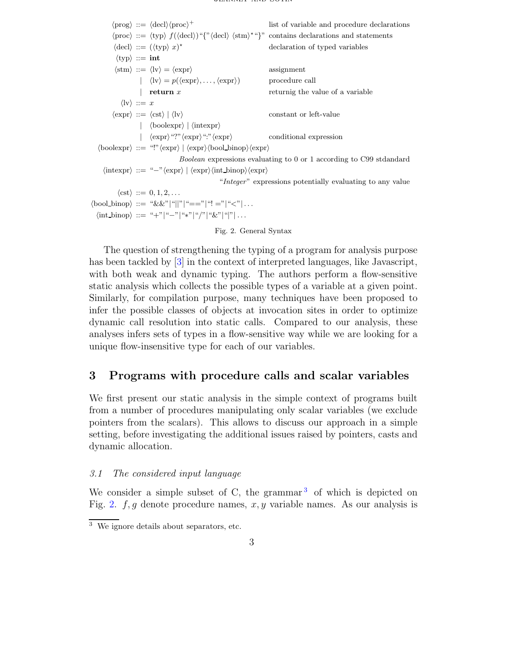$\langle \text{prog} \rangle ::= \langle \text{decl} \rangle \langle \text{proc} \rangle^+$ list of variable and procedure declarations  $\langle \text{proc} \rangle ::= \langle \text{typ} \rangle f(\langle \text{decl} \rangle)^{\alpha} \{ \text{``\langle \text{decl} \rangle \langle \text{stm} \rangle * \alpha} \}$ " contains declarations and statements  $\langle \text{decl} \rangle ::= (\langle \text{typ} \rangle x)^*$ declaration of typed variables  $\langle \text{typ} \rangle ::= \text{int}$  $\langle \text{stm} \rangle ::= \langle \text{lv} \rangle = \langle \text{expr} \rangle$  assignment  $|\langle \text{lv} \rangle = p(\langle \text{expr} \rangle, \dots, \langle \text{expr} \rangle)$  procedure call | return  $x$  returnig the value of a variable  $\langle\mathrm{lv}\rangle ::= x$  $\langle \text{expr} \rangle ::= \langle \text{cst} \rangle | \langle \text{lv} \rangle$  constant or left-value |  $\langle \text{boolean} \rangle$  |  $\langle \text{intexpr} \rangle$  $|\quad \langle \exp r \rangle$ "?" $\langle \exp r \rangle$ ":" $\langle \exp r \rangle$  conditional expression  $\langle \text{boolean} \rangle ::= \text{ ``!''}\langle \text{expr} \rangle \mid \langle \text{expr} \rangle \langle \text{bool\_binop} \rangle \langle \text{expr} \rangle$ Boolean expressions evaluating to 0 or 1 according to C99 stdandard  $\langle \text{intexpr} \rangle ::= "-" \langle \text{expr} \rangle | \langle \text{expr} \rangle \langle \text{int} \rangle | \langle \text{expr} \rangle \rangle$ "Integer" expressions potentially evaluating to any value  $\langle \text{cst} \rangle ::= 0, 1, 2, \ldots$  $\langle \text{bool\_binop} \rangle ::= \sqrt[n]{\&\&\}^n ||\sqrt[n]{\,} = \sqrt[n]{\,} = \sqrt[n]{\,} \cdot \cdot \cdot$  $\langle \text{int\_binop} \rangle ::= "+"|``-"|``*"|``/"|``&"|``|''|.$ Fig. 2. General Syntax

<span id="page-3-3"></span>The question of strengthening the typing of a program for analysis purpose has been tackled by [\[3\]](#page-12-4) in the context of interpreted languages, like Javascript, with both weak and dynamic typing. The authors perform a flow-sensitive static analysis which collects the possible types of a variable at a given point. Similarly, for compilation purpose, many techniques have been proposed to infer the possible classes of objects at invocation sites in order to optimize dynamic call resolution into static calls. Compared to our analysis, these analyses infers sets of types in a flow-sensitive way while we are looking for a unique flow-insensitive type for each of our variables.

## <span id="page-3-1"></span>3 Programs with procedure calls and scalar variables

We first present our static analysis in the simple context of programs built from a number of procedures manipulating only scalar variables (we exclude pointers from the scalars). This allows to discuss our approach in a simple setting, before investigating the additional issues raised by pointers, casts and dynamic allocation.

## 3.1 The considered input language

<span id="page-3-0"></span>We consider a simple subset of C, the grammar  $3$  of which is depicted on Fig. [2.](#page-3-3)  $f, g$  denote procedure names,  $x, y$  variable names. As our analysis is

<span id="page-3-2"></span><sup>3</sup> We ignore details about separators, etc.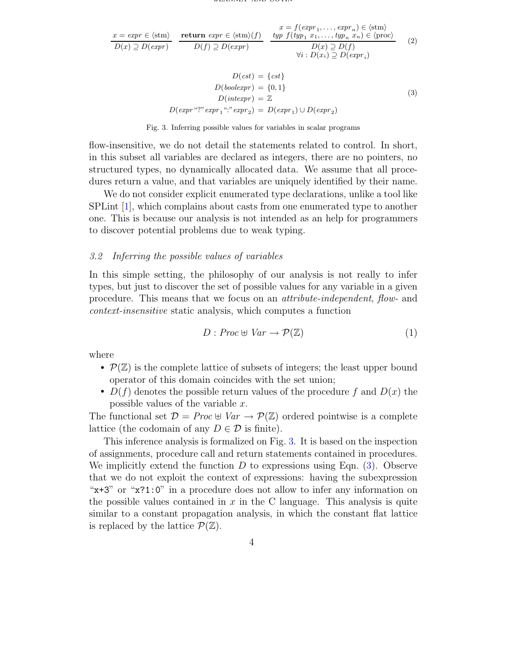<span id="page-4-1"></span>
$$
\frac{x = \exp r \in \langle \operatorname{stm} \rangle}{D(x) \supseteq D(\exp r)} \quad \frac{\text{return } \exp r \in \langle \operatorname{stm} \rangle(f)}{D(f) \supseteq D(\exp r)} \quad \frac{x = f(\exp r_1, \dots, \exp r_n) \in \langle \operatorname{stm} \rangle}{D(x) \supseteq D(f)} \quad \frac{typ \ f(\psi p_1 \ x_1, \dots, \psi p_n \ x_n) \in \langle \operatorname{proc} \rangle}{D(x) \supseteq D(f)} \quad (2)
$$
\n
$$
\forall i : D(x_i) \supseteq D(\exp r_i)
$$

$$
D(cst) = \{cst\}
$$
  
\n
$$
D(boolexpr) = \{0, 1\}
$$
  
\n
$$
D(intexpr) = \mathbb{Z}
$$
  
\n
$$
D(expr "?" expr_1 " : "expr_2) = D(expr_1) \cup D(expr_2)
$$
  
\n(3)

Fig. 3. Inferring possible values for variables in scalar programs

<span id="page-4-0"></span>flow-insensitive, we do not detail the statements related to control. In short, in this subset all variables are declared as integers, there are no pointers, no structured types, no dynamically allocated data. We assume that all procedures return a value, and that variables are uniquely identified by their name.

We do not consider explicit enumerated type declarations, unlike a tool like SPLint [\[1\]](#page-12-5), which complains about casts from one enumerated type to another one. This is because our analysis is not intended as an help for programmers to discover potential problems due to weak typing.

### <span id="page-4-2"></span>3.2 Inferring the possible values of variables

In this simple setting, the philosophy of our analysis is not really to infer types, but just to discover the set of possible values for any variable in a given procedure. This means that we focus on an attribute-independent, flow- and context-insensitive static analysis, which computes a function

$$
D: Proc \oplus Var \to \mathcal{P}(\mathbb{Z}) \tag{1}
$$

where

- $\mathcal{P}(\mathbb{Z})$  is the complete lattice of subsets of integers; the least upper bound operator of this domain coincides with the set union;
- $D(f)$  denotes the possible return values of the procedure f and  $D(x)$  the possible values of the variable x.

The functional set  $\mathcal{D} = Proc \oplus Var \rightarrow \mathcal{P}(\mathbb{Z})$  ordered pointwise is a complete lattice (the codomain of any  $D \in \mathcal{D}$  is finite).

This inference analysis is formalized on Fig. [3.](#page-4-0) It is based on the inspection of assignments, procedure call and return statements contained in procedures. We implicitly extend the function  $D$  to expressions using Eqn. [\(3\)](#page-4-1). Observe that we do not exploit the context of expressions: having the subexpression "x+3" or "x?1:0" in a procedure does not allow to infer any information on the possible values contained in  $x$  in the C language. This analysis is quite similar to a constant propagation analysis, in which the constant flat lattice is replaced by the lattice  $\mathcal{P}(\mathbb{Z})$ .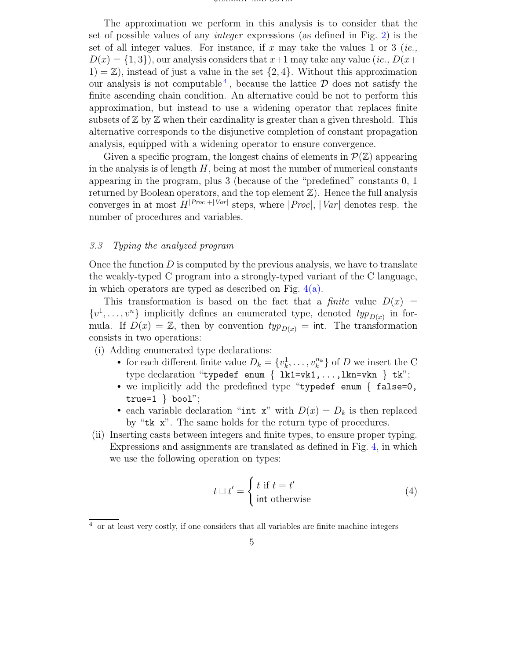The approximation we perform in this analysis is to consider that the set of possible values of any integer expressions (as defined in Fig. [2\)](#page-3-3) is the set of all integer values. For instance, if x may take the values 1 or 3 (*ie.*,  $D(x) = \{1, 3\}$ , our analysis considers that  $x+1$  may take any value (ie.,  $D(x+)$  $1) = \mathbb{Z}$ , instead of just a value in the set  $\{2, 4\}$ . Without this approximation our analysis is not computable<sup>[4](#page-5-0)</sup>, because the lattice  $\mathcal D$  does not satisfy the finite ascending chain condition. An alternative could be not to perform this approximation, but instead to use a widening operator that replaces finite subsets of  $\mathbb Z$  by  $\mathbb Z$  when their cardinality is greater than a given threshold. This alternative corresponds to the disjunctive completion of constant propagation analysis, equipped with a widening operator to ensure convergence.

Given a specific program, the longest chains of elements in  $\mathcal{P}(\mathbb{Z})$  appearing in the analysis is of length  $H$ , being at most the number of numerical constants appearing in the program, plus 3 (because of the "predefined" constants 0, 1 returned by Boolean operators, and the top element  $\mathbb{Z}$ ). Hence the full analysis converges in at most  $H^{|Proc|+|Var|}$  steps, where  $|Proc|, |Var|$  denotes resp. the number of procedures and variables.

## <span id="page-5-1"></span>3.3 Typing the analyzed program

Once the function  $D$  is computed by the previous analysis, we have to translate the weakly-typed C program into a strongly-typed variant of the C language, in which operators are typed as described on Fig.  $4(a)$ .

This transformation is based on the fact that a *finite* value  $D(x)$  =  $\{v^1, \ldots, v^n\}$  implicitly defines an enumerated type, denoted  $\text{typ}_{D(x)}$  in formula. If  $D(x) = \mathbb{Z}$ , then by convention  $typ_{D(x)} = \text{int. The transformation}$ consists in two operations:

- (i) Adding enumerated type declarations:
	- for each different finite value  $D_k = \{v_k^1, \ldots, v_k^{n_k}\}\$  of D we insert the C type declaration "typedef enum { lk1=vk1,...,lkn=vkn } tk";
	- we implicitly add the predefined type "typedef enum { false=0, true= $1 \}$  bool";
	- each variable declaration "int x" with  $D(x) = D_k$  is then replaced by "tk x". The same holds for the return type of procedures.
- (ii) Inserting casts between integers and finite types, to ensure proper typing. Expressions and assignments are translated as defined in Fig. [4,](#page-6-1) in which we use the following operation on types:

$$
t \sqcup t' = \begin{cases} t \text{ if } t = t' \\ \text{int otherwise} \end{cases}
$$
 (4)

<span id="page-5-0"></span><sup>4</sup> or at least very costly, if one considers that all variables are finite machine integers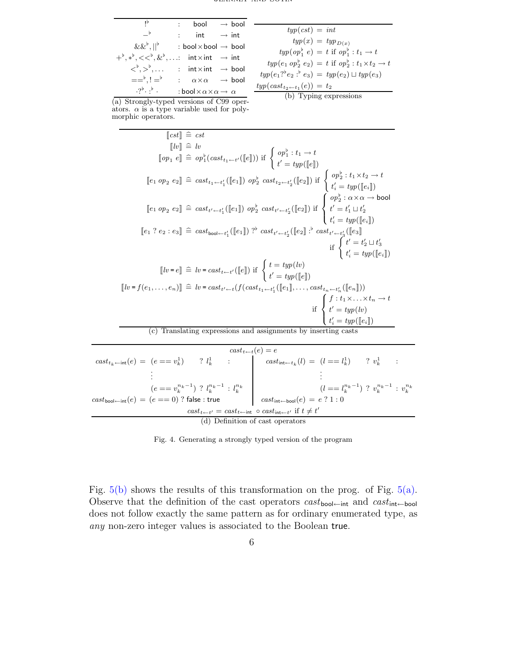<span id="page-6-0"></span>

| ١Þ                                                                                                      | $:$ bool $\rightarrow$ bool                                       |  |                                             |
|---------------------------------------------------------------------------------------------------------|-------------------------------------------------------------------|--|---------------------------------------------|
|                                                                                                         |                                                                   |  | $t_3$                                       |
| $-^{\flat}$                                                                                             | : int $\rightarrow$ int                                           |  |                                             |
| $\&\&^{\flat},  ^{\flat}$ : bool $\times$ bool $\rightarrow$ bool                                       |                                                                   |  |                                             |
| $+^{\flat}, *^{\flat}, <<^{\flat}, \&^{\flat}, \ldots$ int $\times$ int $\rightarrow$ int               |                                                                   |  | typ(                                        |
| $\langle \xi^{\flat}, \rangle^{\flat}, \ldots$ : int $\times$ int $\rightarrow$ bool                    |                                                                   |  | $typ(e_1$<br>$type(e_1?$ <sup>b</sup> $e_2$ |
| $=$ $\stackrel{+}{\rightarrow}$ , $\stackrel{+}{\rightarrow}$ : $\alpha \times \alpha \rightarrow$ bool |                                                                   |  |                                             |
| $\cdot$ ? $\cdot$ . $\cdot$                                                                             | : bool $\times$ $\alpha$ $\times$ $\alpha$ $\rightarrow$ $\alpha$ |  | $typ(cast_{t_2}$<br>(1)                     |

 $\text{sup}(cst) = \text{int}$  $typ(x) = typ_{D(x)}$  $typ(op_1^b e) = t$  if  $op_1^b : t_1 \rightarrow t$  $typ(e_1 \text{ op}_2^b e_2) = t \text{ if } op_2^b : t_1 \times t_2 \to t$  $(e_2 : b e_3) = type(e_2) \sqcup type(e_3)$  $typ(cast_{t_2 \leftarrow t_1}(e)) = t_2$ (b) Typing expressions

(a) Strongly-typed versions of C99 operators.  $\alpha$  is a type variable used for polymorphic operators.

÷.

$$
\llbracket \text{cst} \rrbracket \cong \text{cst} \\
 \llbracket l v \rrbracket \cong v \\
 \llbracket \text{op}_1 e \rrbracket \cong op_1^{\flat}(\text{cast}_{t_1 \leftarrow t'}([\llbracket e \rrbracket)) \text{ if } \begin{cases} op_1^{\flat} : t_1 \rightarrow t \\ t' = \text{typ}([\llbracket e \rrbracket) \end{cases} \\
 \llbracket e_1 op_2 e_2 \rrbracket \cong \text{cast}_{t_1 \leftarrow t'_1}([\llbracket e_1 \rrbracket) op_2^{\flat} \text{ cast}_{t_2 \leftarrow t'_2}([\llbracket e_2 \rrbracket) \text{ if } \begin{cases} op_2^{\flat} : t_1 \times t_2 \rightarrow t \\ t'_i = \text{typ}([\llbracket e \rrbracket] \end{cases} \\
 \llbracket e_1 op_2 e_2 \rrbracket \cong \text{cast}_{t' \leftarrow t'_1}([\llbracket e_1 \rrbracket) op_2^{\flat} \text{ cast}_{t' \leftarrow t'_2}([\llbracket e_2 \rrbracket) \text{ if } \begin{cases} op_2^{\flat} : \alpha \times \alpha \rightarrow \text{bool} \\ t' = \text{typ}([\llbracket e \rrbracket] \end{cases} \\
 \llbracket e_1 ? e_2 : e_3 \rrbracket \cong \text{cast}_{\text{bool} \leftarrow t'_1}([\llbracket e_1 \rrbracket) p^{\flat} \text{ cast}_{t' \leftarrow t'_2}([\llbracket e_2 \rrbracket] \text{ if } \begin{cases} t' = \text{typ}([\llbracket e \rrbracket] \\ t' = \text{typ}([\llbracket e \rrbracket] \end{cases} \\
 \llbracket t' = \text{typ}([\llbracket e \rrbracket]) \\
 \llbracket t' = \text{typ}([\llbracket e_1 \rrbracket)) \\
 \llbracket t' = \text{typ}([\llbracket e_1 \rrbracket)) \\
 \llbracket t' = \text{typ}([\llbracket e_1 \rrbracket)) \\
 \llbracket t' = \text{typ}([\llbracket e_1 \rrbracket)) \\
 \llbracket t' = \text{typ}([\llbracket e_1 \rrbracket)) \\
 \llbracket t' = \text{typ}([\llbracket e_1 \rrbracket)) \\
 \llbracket t' = \text{typ}([\llbracket e_1 \rrbracket)) \\
 \llbracket t' = \text{typ}([\llbracket e_1 \
$$

|                                                                                                  |                                                    |  |  | $cast_{t \leftarrow t}(e) = e$                                                                                                                                                                                             |  |  |  |
|--------------------------------------------------------------------------------------------------|----------------------------------------------------|--|--|----------------------------------------------------------------------------------------------------------------------------------------------------------------------------------------------------------------------------|--|--|--|
|                                                                                                  |                                                    |  |  | $\label{eq:1} \textit{cast}_{t_k \leftarrow \textsf{int}}(e) \; = \; (e == v_k^1) \qquad ? \; l_k^1 \qquad : \qquad \qquad \textit{cast}_{\textsf{int} \leftarrow t_k}(l) \; = \; (l == l_k^1) \qquad ? \; v_k^1 \qquad :$ |  |  |  |
|                                                                                                  |                                                    |  |  |                                                                                                                                                                                                                            |  |  |  |
|                                                                                                  | $(e == v_k^{n_k-1})$ ? $l_k^{n_k-1}$ : $l_k^{n_k}$ |  |  | ( <i>l</i> = $l_k^{n_k-1}$ ) ? $v_k^{n_k-1}$ : $v_k^{n_k}$                                                                                                                                                                 |  |  |  |
| $\textit{cast}_{\textsf{bool}\leftarrow \textsf{int}}(e) = (e == 0)$ ? false : true              |                                                    |  |  | $cast_{\text{int}\leftarrow \text{bool}}(e) = e ? 1 : 0$                                                                                                                                                                   |  |  |  |
| $cast_{t \leftarrow t'} = cast_{t \leftarrow int} \circ cast_{int \leftarrow t'}$ if $t \neq t'$ |                                                    |  |  |                                                                                                                                                                                                                            |  |  |  |
| (d) Definition of cast operators                                                                 |                                                    |  |  |                                                                                                                                                                                                                            |  |  |  |

<span id="page-6-1"></span>Fig. 4. Generating a strongly typed version of the program

Fig. [5\(b\)](#page-7-0) shows the results of this transformation on the prog. of Fig. [5\(a\).](#page-7-1) Observe that the definition of the cast operators  $cast_{bool\leftarrow int}$  and  $cast_{int\leftarrow bool}$ does not follow exactly the same pattern as for ordinary enumerated type, as any non-zero integer values is associated to the Boolean true.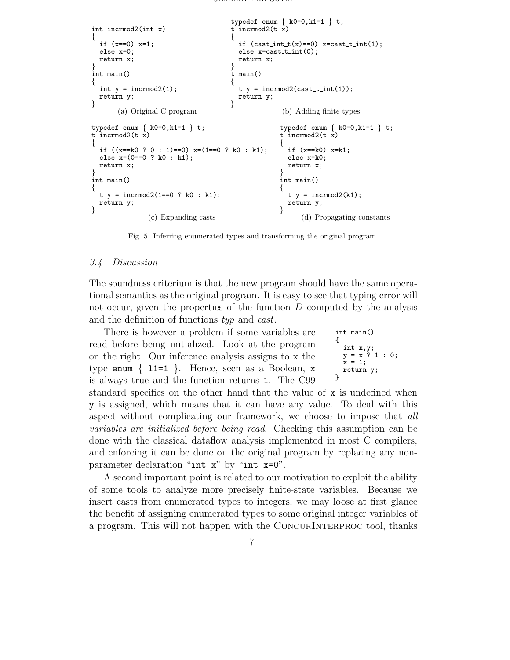```
int incrmod2(int x)
{
  if (x==0) x=1;
  else x=0;
  return x;
}
int main()
{
  int y = interval(1);return y;
}
       (a) Original C program
                                         typedef enum \{ k0=0, k1=1 \} t;t incrmod2(t \times)
                                          {
                                            if (cast-int_t(x)=0) x=cast t int(1);
                                            else x = \text{cast} \cdot t \cdot \text{int}(0);
                                           return x;
                                          }
                                         t main()
                                          {
                                           t y = incrmod2(cast_t_int(1));
                                           return y;
                                         }
                                                         (b) Adding finite types
typedef enum { k0=0,k1=1 } t;
t incrmod2(t x)
{
  if ((x= k0 ? 0 : 1)=0) x=(1 == 0 ? k0 : k1);else x=(0==0 ? k0 : k1);
  return x;
}
int main()
{
  t y = \text{incremental}(1 == 0 ? k0 : k1);return y;
}
                 (c) Expanding casts
                                                        typedef enum \{ k0=0, k1=1 \} t;t incrmod2(t x)
                                                        {
                                                          if (x == k() x = k1:
                                                          else x=k0;
                                                          return x;
                                                        }
                                                        int main()
                                                        {
                                                          t y = \text{increment}(k1);
                                                          return y;
                                                        }
                                                               (d) Propagating constants
```
Fig. 5. Inferring enumerated types and transforming the original program.

### <span id="page-7-3"></span>3.4 Discussion

The soundness criterium is that the new program should have the same operational semantics as the original program. It is easy to see that typing error will not occur, given the properties of the function  $D$  computed by the analysis and the definition of functions typ and cast.

There is however a problem if some variables are read before being initialized. Look at the program on the right. Our inference analysis assigns to x the type enum  $\{ 11=1 \}$ . Hence, seen as a Boolean, x is always true and the function returns 1. The C99

int main() { int x,y;  $y = x ? 1 : 0;$  $x = 1;$ return y; }

standard specifies on the other hand that the value of x is undefined when y is assigned, which means that it can have any value. To deal with this aspect without complicating our framework, we choose to impose that all variables are initialized before being read. Checking this assumption can be done with the classical dataflow analysis implemented in most C compilers, and enforcing it can be done on the original program by replacing any nonparameter declaration "int x" by "int x=0".

A second important point is related to our motivation to exploit the ability of some tools to analyze more precisely finite-state variables. Because we insert casts from enumerated types to integers, we may loose at first glance the benefit of assigning enumerated types to some original integer variables of a program. This will not happen with the CONCURINTERPROC tool, thanks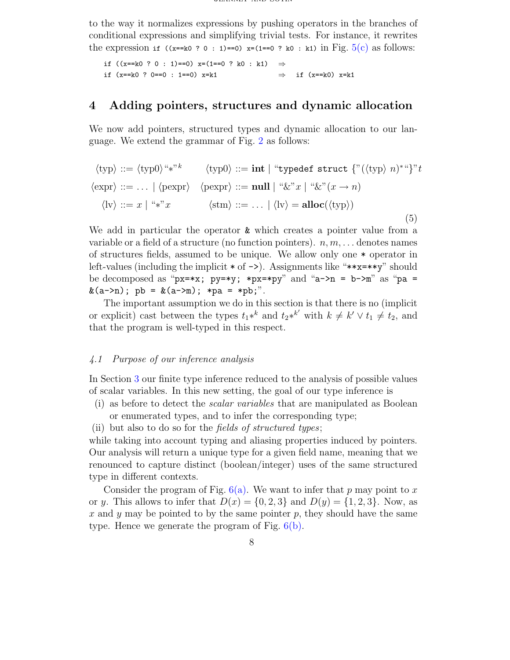to the way it normalizes expressions by pushing operators in the branches of conditional expressions and simplifying trivial tests. For instance, it rewrites the expression if  $((x= k0 ? 0 : 1)=0)$   $x=(1=-0 ? k0 : k1)$  in Fig.  $5(c)$  as follows:

if ((x==k0 ? 0 : 1)==0) x=(1==0 ? k0 : k1)  $\Rightarrow$ if (x==k0 ? 0==0 : 1==0) x=k1 ⇒ if (x==k0) x=k1

## <span id="page-8-0"></span>4 Adding pointers, structures and dynamic allocation

<span id="page-8-2"></span>We now add pointers, structured types and dynamic allocation to our language. We extend the grammar of Fig. [2](#page-3-3) as follows:

htypi ::= htyp0i"∗" k htyp0i ::= int | "typedef struct {"(htypi n) <sup>∗</sup>"}"t hexpri ::= . . . | hpexpri hpexpri ::= null | "&"x | "&"(x → n) hlvi ::= x | "∗"x hstmi ::= . . . | hlvi = alloc(htypi) (5)

We add in particular the operator **&** which creates a pointer value from a variable or a field of a structure (no function pointers).  $n, m, \ldots$  denotes names of structures fields, assumed to be unique. We allow only one \* operator in left-values (including the implicit  $*$  of  $\rightarrow$ ). Assignments like " $**x=**y$ " should be decomposed as "px=\*x; py=\*y; \*px=\*py" and "a->n = b->m" as "pa =  $\&$ (a->n); pb =  $&$ (a->m); \*pa = \*pb;".

The important assumption we do in this section is that there is no (implicit or explicit) cast between the types  $t_1*^k$  and  $t_2*^{k'}$  with  $k \neq k' \vee t_1 \neq t_2$ , and that the program is well-typed in this respect.

### <span id="page-8-1"></span>4.1 Purpose of our inference analysis

In Section [3](#page-3-1) our finite type inference reduced to the analysis of possible values of scalar variables. In this new setting, the goal of our type inference is

- (i) as before to detect the scalar variables that are manipulated as Boolean or enumerated types, and to infer the corresponding type;
- (ii) but also to do so for the fields of structured types;

while taking into account typing and aliasing properties induced by pointers. Our analysis will return a unique type for a given field name, meaning that we renounced to capture distinct (boolean/integer) uses of the same structured type in different contexts.

Consider the program of Fig.  $6(a)$ . We want to infer that p may point to x or y. This allows to infer that  $D(x) = \{0, 2, 3\}$  and  $D(y) = \{1, 2, 3\}$ . Now, as x and y may be pointed to by the same pointer p, they should have the same type. Hence we generate the program of Fig. [6\(b\).](#page-9-1)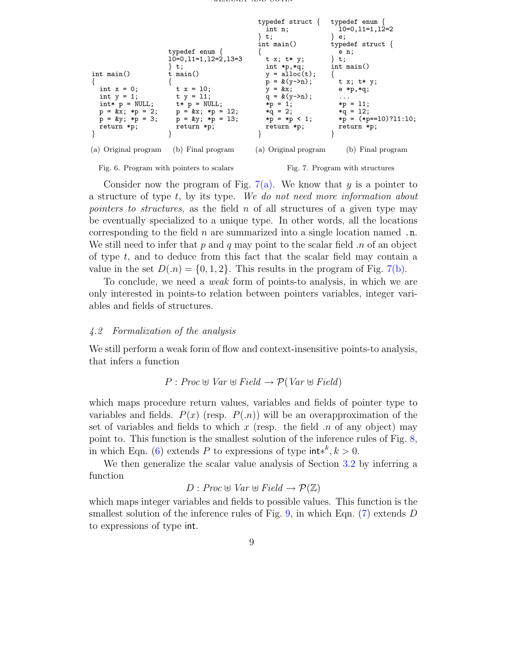<span id="page-9-2"></span><span id="page-9-0"></span>

| $int \text{main}()$<br>int $x = 0$ ;<br>int $y = 1$ ;<br>return *p; | typedef enum $\{$<br>$10=0, 11=1, 12=2, 13=3$<br>∤ t;<br>t main $()$<br>$t x = 10$ ;<br>$t y = 11;$<br>$\text{int} * p = \text{NULL};$ $\text{t} * p = \text{NULL};$<br>$p = kx$ ; *p = 2; $p = kx$ ; *p = 12;<br>$p = \&y$ ; *p = 3; $p = \&y$ ; *p = 13;<br>return *p; | typedef struct $\{$ typedef enum $\{$<br>int n;<br>∤ t;<br>$int \text{ main}()$<br>t x; t* y;<br>$int *p, *q;$<br>$y = \text{alloc}(t)$ ;<br>$p = \&(y - \ge n);$<br>$y = \&x$<br>$q = \&(y - \geq n);$<br>$*p = 1;$<br>$*q = 2$ ;<br>$*p = np < 1;$<br>return *p; | 10=0,11=1,12=2<br>∤ e;<br>typedef struct $\{$<br>e n;<br>$\}$ t;<br>int main()<br>t x; t* y;<br>$e * p, * q;$<br>$\cdots$<br>$*p = 11;$<br>$*q = 12$ ;<br>$*p = (*p == 10)?11:10;$<br>return *p; |
|---------------------------------------------------------------------|--------------------------------------------------------------------------------------------------------------------------------------------------------------------------------------------------------------------------------------------------------------------------|--------------------------------------------------------------------------------------------------------------------------------------------------------------------------------------------------------------------------------------------------------------------|--------------------------------------------------------------------------------------------------------------------------------------------------------------------------------------------------|
| (a) Original program                                                | (b) Final program                                                                                                                                                                                                                                                        | (a) Original program                                                                                                                                                                                                                                               | (b) Final program                                                                                                                                                                                |

<span id="page-9-1"></span>

<span id="page-9-3"></span>Fig. 7. Program with structures

Consider now the program of Fig. [7\(a\).](#page-9-2) We know that y is a pointer to a structure of type t, by its type. We do not need more information about *pointers to structures*, as the field  $n$  of all structures of a given type may be eventually specialized to a unique type. In other words, all the locations corresponding to the field  $n$  are summarized into a single location named  $\ldots$ We still need to infer that  $p$  and  $q$  may point to the scalar field  $n$  of an object of type  $t$ , and to deduce from this fact that the scalar field may contain a value in the set  $D(n) = \{0, 1, 2\}$ . This results in the program of Fig. [7\(b\).](#page-9-3)

To conclude, we need a weak form of points-to analysis, in which we are only interested in points-to relation between pointers variables, integer variables and fields of structures.

## 4.2 Formalization of the analysis

We still perform a weak form of flow and context-insensitive points-to analysis, that infers a function

$$
P: Proc \oplus Var \oplus Field \rightarrow \mathcal{P}(Var \oplus Field)
$$

which maps procedure return values, variables and fields of pointer type to variables and fields.  $P(x)$  (resp.  $P(x)$ ) will be an overapproximation of the set of variables and fields to which x (resp. the field  $\pi$  of any object) may point to. This function is the smallest solution of the inference rules of Fig. [8,](#page-10-0) in which Eqn. [\(6\)](#page-10-1) extends P to expressions of type  $\text{int}^{k}$ ,  $k > 0$ .

We then generalize the scalar value analysis of Section [3.2](#page-4-2) by inferring a function

$$
D: \text{Proc} \oplus \text{Var} \oplus \text{Field} \rightarrow \mathcal{P}(\mathbb{Z})
$$

which maps integer variables and fields to possible values. This function is the smallest solution of the inference rules of Fig. [9,](#page-10-2) in which Eqn.  $(7)$  extends D to expressions of type int.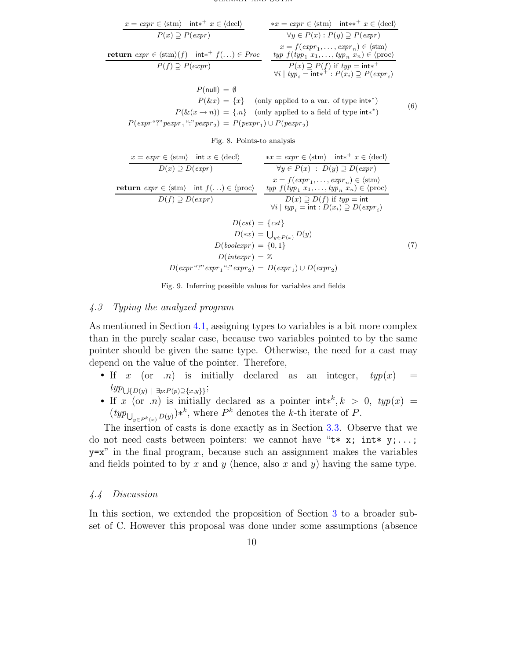<span id="page-10-1"></span>

| $x = expr \in \langle \text{stm} \rangle \text{ int} *^+ x \in \langle \text{decl} \rangle$ | $\ast x = expr \in \langle \text{stm} \rangle \text{ int} *^+ x \in \langle \text{decl} \rangle$ |
|---------------------------------------------------------------------------------------------|--------------------------------------------------------------------------------------------------|
| $P(x) \supseteq P(expr)$                                                                    | $\forall y \in P(x) : P(y) \supseteq P(expr)$                                                    |
| $return \; expr \in \langle \text{stm} \rangle(f) \text{ int} *^+ f(\ldots) \in Proc$       | $if \; type \; f(typ_1 \; x_1, \ldots, \text{typ}_n \; x_n) \in \langle \text{proc} \rangle$     |
| $P(f) \supseteq P(expr)$                                                                    | $\exists p \; f(typ_1 \; x_1, \ldots, \text{typ}_n \; x_n) \in \langle \text{proc} \rangle$      |
| $P(x) \supseteq P(f) \text{ if } typ = \text{int} *^+$                                      | $\forall i \;   \; typ_i = \text{int} *^+ : P(x_i) \supseteq P(expr_i)$                          |

$$
P(\text{null}) = \emptyset
$$
  
\n
$$
P(\&x) = \{x\} \quad \text{(only applied to a var. of type int**)}
$$
  
\n
$$
P(\&x(x \to n)) = \{n\} \quad \text{(only applied to a field of type int**)}
$$
  
\n
$$
P(\text{expr "?" pexpr_1 ": "pexpr_2}) = P(\text{pexpr}_1) \cup P(\text{pexpr}_2)
$$
 (6)

<span id="page-10-0"></span>Fig. 8. Points-to analysis

<span id="page-10-3"></span>
$$
\begin{array}{ll}\n\frac{x = \exp r \in \langle \text{stm} \rangle \quad \text{int } x \in \langle \text{decl} \rangle}{D(x) \supseteq D(\exp r)} & \frac{*x = \exp r \in \langle \text{stm} \rangle \quad \text{int}^{+} x \in \langle \text{decl} \rangle}{\forall y \in P(x) : D(y) \supseteq D(\exp r)} \\
\text{return } \exp r \in \langle \text{stm} \rangle \quad \text{int } f(\ldots) \in \langle \text{proc} \rangle \\
& \frac{x = f(\exp r_1, \ldots, \exp r_n) \in \langle \text{stm} \rangle}{L(y) \supseteq D(\exp r_1, \ldots, \exp r_n) \in \langle \text{proc} \rangle} \\
& \frac{typ \ f(typ_1 \ x_1, \ldots, \exp r_n \ \in \langle \text{proc} \rangle}{D(x) \supseteq D(f) \text{ if } typ = \text{int} \\
& \frac{V_i \mid typ_i = \text{int} : D(x_i) \supseteq D(\exp r_i)}{D(x) \supseteq D(f) \text{ if } typ = \text{int} \\
& \frac{V_i \mid typ_i = \text{int} : D(x_i) \supseteq D(\exp r_i)}{D(x) \supseteq D(\exp r_i)} \\
& \frac{D(\text{c} \exp r)}{D(x)} = \{c, c, d\} \\
& \frac{D(\text{vole} \exp r)}{D(\text{vole} \exp r)} = \{0, 1\} \\
& \frac{D(\text{int} \exp r)}{D(\text{vole} \exp r)} = \mathbb{Z} \\
& \frac{D(\exp r \ \text{``?} \exp r_1 \ \text{``?} \exp r_2)}{L(\exp r_1) \cup D(\exp r_2)} = D(\exp r_1) \cup D(\exp r_2)\n\end{array} \tag{7}
$$

<span id="page-10-2"></span>Fig. 9. Inferring possible values for variables and fields

## 4.3 Typing the analyzed program

As mentioned in Section [4.1,](#page-8-1) assigning types to variables is a bit more complex than in the purely scalar case, because two variables pointed to by the same pointer should be given the same type. Otherwise, the need for a cast may depend on the value of the pointer. Therefore,

- If x (or  $n$ ) is initially declared as an integer,  $typ(x)$  =  $typ_{\bigcup \{D(y) \mid \exists p:P(p) \supseteq \{x,y\}\}};$
- If x (or n) is initially declared as a pointer  $int^{k} k > 0$ ,  $typ(x) =$  $(typ_{\bigcup_{y\in P^k(x)} D(y)})^{*^k}$ , where  $P^k$  denotes the k-th iterate of P.

The insertion of casts is done exactly as in Section [3.3.](#page-5-1) Observe that we do not need casts between pointers: we cannot have " $t * x$ ; int\*  $y; \ldots;$ y=x" in the final program, because such an assignment makes the variables and fields pointed to by x and y (hence, also x and y) having the same type.

### 4.4 Discussion

In this section, we extended the proposition of Section [3](#page-3-1) to a broader subset of C. However this proposal was done under some assumptions (absence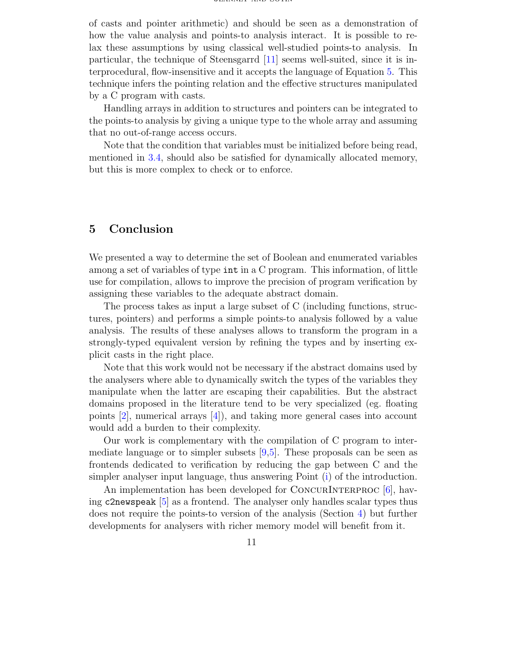of casts and pointer arithmetic) and should be seen as a demonstration of how the value analysis and points-to analysis interact. It is possible to relax these assumptions by using classical well-studied points-to analysis. In particular, the technique of Steensgarrd [\[11\]](#page-12-6) seems well-suited, since it is interprocedural, flow-insensitive and it accepts the language of Equation [5.](#page-8-2) This technique infers the pointing relation and the effective structures manipulated by a C program with casts.

Handling arrays in addition to structures and pointers can be integrated to the points-to analysis by giving a unique type to the whole array and assuming that no out-of-range access occurs.

Note that the condition that variables must be initialized before being read, mentioned in [3.4,](#page-7-3) should also be satisfied for dynamically allocated memory, but this is more complex to check or to enforce.

## 5 Conclusion

We presented a way to determine the set of Boolean and enumerated variables among a set of variables of type int in a C program. This information, of little use for compilation, allows to improve the precision of program verification by assigning these variables to the adequate abstract domain.

The process takes as input a large subset of C (including functions, structures, pointers) and performs a simple points-to analysis followed by a value analysis. The results of these analyses allows to transform the program in a strongly-typed equivalent version by refining the types and by inserting explicit casts in the right place.

Note that this work would not be necessary if the abstract domains used by the analysers where able to dynamically switch the types of the variables they manipulate when the latter are escaping their capabilities. But the abstract domains proposed in the literature tend to be very specialized (eg. floating points [\[2\]](#page-12-7), numerical arrays [\[4\]](#page-12-8)), and taking more general cases into account would add a burden to their complexity.

Our work is complementary with the compilation of C program to intermediate language or to simpler subsets  $[9,5]$  $[9,5]$ . These proposals can be seen as frontends dedicated to verification by reducing the gap between C and the simpler analyser input language, thus answering Point [\(i\)](#page-1-1) of the introduction.

An implementation has been developed for CONCURINTERPROC  $[6]$ , having c2newspeak [\[5\]](#page-12-10) as a frontend. The analyser only handles scalar types thus does not require the points-to version of the analysis (Section [4\)](#page-8-0) but further developments for analysers with richer memory model will benefit from it.